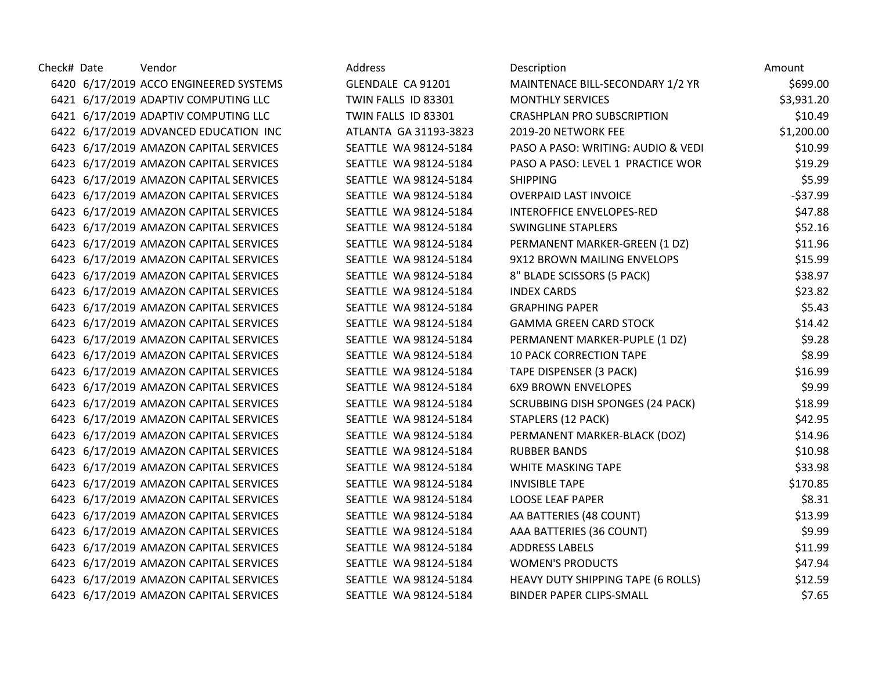| Check# Date | Vendor                                 | Address               | Description                             | Amount     |
|-------------|----------------------------------------|-----------------------|-----------------------------------------|------------|
|             | 6420 6/17/2019 ACCO ENGINEERED SYSTEMS | GLENDALE CA 91201     | MAINTENACE BILL-SECONDARY 1/2 YR        | \$699.00   |
|             | 6421 6/17/2019 ADAPTIV COMPUTING LLC   | TWIN FALLS ID 83301   | <b>MONTHLY SERVICES</b>                 | \$3,931.20 |
|             | 6421 6/17/2019 ADAPTIV COMPUTING LLC   | TWIN FALLS ID 83301   | <b>CRASHPLAN PRO SUBSCRIPTION</b>       | \$10.49    |
|             | 6422 6/17/2019 ADVANCED EDUCATION INC  | ATLANTA GA 31193-3823 | 2019-20 NETWORK FEE                     | \$1,200.00 |
|             | 6423 6/17/2019 AMAZON CAPITAL SERVICES | SEATTLE WA 98124-5184 | PASO A PASO: WRITING: AUDIO & VEDI      | \$10.99    |
|             | 6423 6/17/2019 AMAZON CAPITAL SERVICES | SEATTLE WA 98124-5184 | PASO A PASO: LEVEL 1 PRACTICE WOR       | \$19.29    |
|             | 6423 6/17/2019 AMAZON CAPITAL SERVICES | SEATTLE WA 98124-5184 | <b>SHIPPING</b>                         | \$5.99     |
|             | 6423 6/17/2019 AMAZON CAPITAL SERVICES | SEATTLE WA 98124-5184 | <b>OVERPAID LAST INVOICE</b>            | $-537.99$  |
|             | 6423 6/17/2019 AMAZON CAPITAL SERVICES | SEATTLE WA 98124-5184 | <b>INTEROFFICE ENVELOPES-RED</b>        | \$47.88    |
|             | 6423 6/17/2019 AMAZON CAPITAL SERVICES | SEATTLE WA 98124-5184 | <b>SWINGLINE STAPLERS</b>               | \$52.16    |
|             | 6423 6/17/2019 AMAZON CAPITAL SERVICES | SEATTLE WA 98124-5184 | PERMANENT MARKER-GREEN (1 DZ)           | \$11.96    |
|             | 6423 6/17/2019 AMAZON CAPITAL SERVICES | SEATTLE WA 98124-5184 | 9X12 BROWN MAILING ENVELOPS             | \$15.99    |
|             | 6423 6/17/2019 AMAZON CAPITAL SERVICES | SEATTLE WA 98124-5184 | 8" BLADE SCISSORS (5 PACK)              | \$38.97    |
|             | 6423 6/17/2019 AMAZON CAPITAL SERVICES | SEATTLE WA 98124-5184 | <b>INDEX CARDS</b>                      | \$23.82    |
|             | 6423 6/17/2019 AMAZON CAPITAL SERVICES | SEATTLE WA 98124-5184 | <b>GRAPHING PAPER</b>                   | \$5.43     |
|             | 6423 6/17/2019 AMAZON CAPITAL SERVICES | SEATTLE WA 98124-5184 | <b>GAMMA GREEN CARD STOCK</b>           | \$14.42    |
|             | 6423 6/17/2019 AMAZON CAPITAL SERVICES | SEATTLE WA 98124-5184 | PERMANENT MARKER-PUPLE (1 DZ)           | \$9.28     |
|             | 6423 6/17/2019 AMAZON CAPITAL SERVICES | SEATTLE WA 98124-5184 | <b>10 PACK CORRECTION TAPE</b>          | \$8.99     |
|             | 6423 6/17/2019 AMAZON CAPITAL SERVICES | SEATTLE WA 98124-5184 | TAPE DISPENSER (3 PACK)                 | \$16.99    |
|             | 6423 6/17/2019 AMAZON CAPITAL SERVICES | SEATTLE WA 98124-5184 | <b>6X9 BROWN ENVELOPES</b>              | \$9.99     |
|             | 6423 6/17/2019 AMAZON CAPITAL SERVICES | SEATTLE WA 98124-5184 | <b>SCRUBBING DISH SPONGES (24 PACK)</b> | \$18.99    |
|             | 6423 6/17/2019 AMAZON CAPITAL SERVICES | SEATTLE WA 98124-5184 | STAPLERS (12 PACK)                      | \$42.95    |
|             | 6423 6/17/2019 AMAZON CAPITAL SERVICES | SEATTLE WA 98124-5184 | PERMANENT MARKER-BLACK (DOZ)            | \$14.96    |
|             | 6423 6/17/2019 AMAZON CAPITAL SERVICES | SEATTLE WA 98124-5184 | <b>RUBBER BANDS</b>                     | \$10.98    |
|             | 6423 6/17/2019 AMAZON CAPITAL SERVICES | SEATTLE WA 98124-5184 | WHITE MASKING TAPE                      | \$33.98    |
|             | 6423 6/17/2019 AMAZON CAPITAL SERVICES | SEATTLE WA 98124-5184 | <b>INVISIBLE TAPE</b>                   | \$170.85   |
|             | 6423 6/17/2019 AMAZON CAPITAL SERVICES | SEATTLE WA 98124-5184 | <b>LOOSE LEAF PAPER</b>                 | \$8.31     |
|             | 6423 6/17/2019 AMAZON CAPITAL SERVICES | SEATTLE WA 98124-5184 | AA BATTERIES (48 COUNT)                 | \$13.99    |
|             | 6423 6/17/2019 AMAZON CAPITAL SERVICES | SEATTLE WA 98124-5184 | AAA BATTERIES (36 COUNT)                | \$9.99     |
|             | 6423 6/17/2019 AMAZON CAPITAL SERVICES | SEATTLE WA 98124-5184 | <b>ADDRESS LABELS</b>                   | \$11.99    |
|             | 6423 6/17/2019 AMAZON CAPITAL SERVICES | SEATTLE WA 98124-5184 | <b>WOMEN'S PRODUCTS</b>                 | \$47.94    |
|             | 6423 6/17/2019 AMAZON CAPITAL SERVICES | SEATTLE WA 98124-5184 | HEAVY DUTY SHIPPING TAPE (6 ROLLS)      | \$12.59    |
|             | 6423 6/17/2019 AMAZON CAPITAL SERVICES | SEATTLE WA 98124-5184 | <b>BINDER PAPER CLIPS-SMALL</b>         | \$7.65     |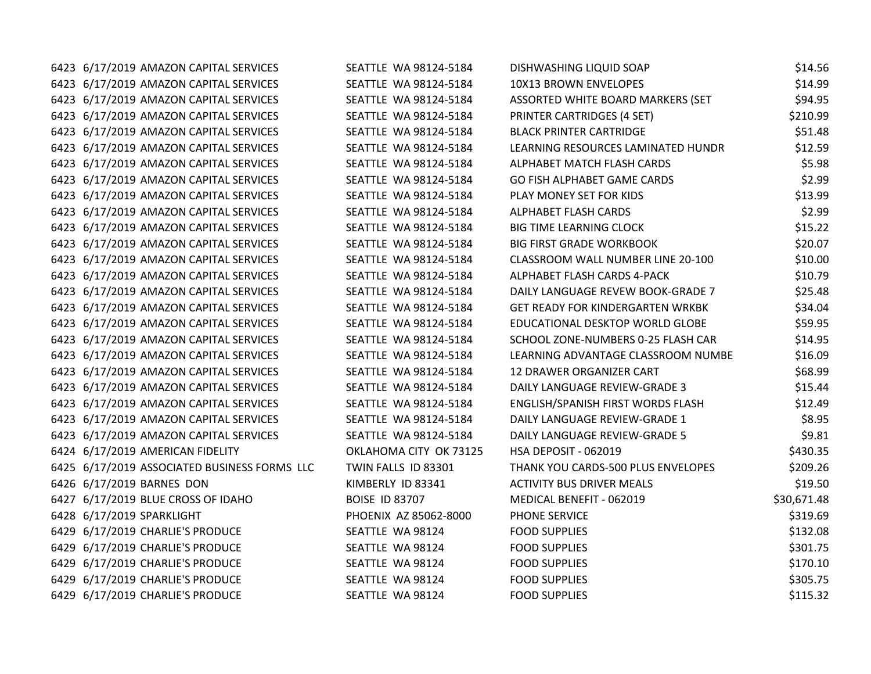| 6423 6/17/2019 AMAZON CAPITAL SERVICES       | SEATTLE WA 98124-5184  | DISHWASHING LIQUID SOAP                 | \$14.56     |
|----------------------------------------------|------------------------|-----------------------------------------|-------------|
| 6423 6/17/2019 AMAZON CAPITAL SERVICES       | SEATTLE WA 98124-5184  | 10X13 BROWN ENVELOPES                   | \$14.99     |
| 6423 6/17/2019 AMAZON CAPITAL SERVICES       | SEATTLE WA 98124-5184  | ASSORTED WHITE BOARD MARKERS (SET       | \$94.95     |
| 6423 6/17/2019 AMAZON CAPITAL SERVICES       | SEATTLE WA 98124-5184  | PRINTER CARTRIDGES (4 SET)              | \$210.99    |
| 6423 6/17/2019 AMAZON CAPITAL SERVICES       | SEATTLE WA 98124-5184  | <b>BLACK PRINTER CARTRIDGE</b>          | \$51.48     |
| 6423 6/17/2019 AMAZON CAPITAL SERVICES       | SEATTLE WA 98124-5184  | LEARNING RESOURCES LAMINATED HUNDR      | \$12.59     |
| 6423 6/17/2019 AMAZON CAPITAL SERVICES       | SEATTLE WA 98124-5184  | ALPHABET MATCH FLASH CARDS              | \$5.98      |
| 6423 6/17/2019 AMAZON CAPITAL SERVICES       | SEATTLE WA 98124-5184  | GO FISH ALPHABET GAME CARDS             | \$2.99      |
| 6423 6/17/2019 AMAZON CAPITAL SERVICES       | SEATTLE WA 98124-5184  | PLAY MONEY SET FOR KIDS                 | \$13.99     |
| 6423 6/17/2019 AMAZON CAPITAL SERVICES       | SEATTLE WA 98124-5184  | ALPHABET FLASH CARDS                    | \$2.99      |
| 6423 6/17/2019 AMAZON CAPITAL SERVICES       | SEATTLE WA 98124-5184  | <b>BIG TIME LEARNING CLOCK</b>          | \$15.22     |
| 6423 6/17/2019 AMAZON CAPITAL SERVICES       | SEATTLE WA 98124-5184  | <b>BIG FIRST GRADE WORKBOOK</b>         | \$20.07     |
| 6423 6/17/2019 AMAZON CAPITAL SERVICES       | SEATTLE WA 98124-5184  | CLASSROOM WALL NUMBER LINE 20-100       | \$10.00     |
| 6423 6/17/2019 AMAZON CAPITAL SERVICES       | SEATTLE WA 98124-5184  | ALPHABET FLASH CARDS 4-PACK             | \$10.79     |
| 6423 6/17/2019 AMAZON CAPITAL SERVICES       | SEATTLE WA 98124-5184  | DAILY LANGUAGE REVEW BOOK-GRADE 7       | \$25.48     |
| 6423 6/17/2019 AMAZON CAPITAL SERVICES       | SEATTLE WA 98124-5184  | <b>GET READY FOR KINDERGARTEN WRKBK</b> | \$34.04     |
| 6423 6/17/2019 AMAZON CAPITAL SERVICES       | SEATTLE WA 98124-5184  | EDUCATIONAL DESKTOP WORLD GLOBE         | \$59.95     |
| 6423 6/17/2019 AMAZON CAPITAL SERVICES       | SEATTLE WA 98124-5184  | SCHOOL ZONE-NUMBERS 0-25 FLASH CAR      | \$14.95     |
| 6423 6/17/2019 AMAZON CAPITAL SERVICES       | SEATTLE WA 98124-5184  | LEARNING ADVANTAGE CLASSROOM NUMBE      | \$16.09     |
| 6423 6/17/2019 AMAZON CAPITAL SERVICES       | SEATTLE WA 98124-5184  | 12 DRAWER ORGANIZER CART                | \$68.99     |
| 6423 6/17/2019 AMAZON CAPITAL SERVICES       | SEATTLE WA 98124-5184  | DAILY LANGUAGE REVIEW-GRADE 3           | \$15.44     |
| 6423 6/17/2019 AMAZON CAPITAL SERVICES       | SEATTLE WA 98124-5184  | ENGLISH/SPANISH FIRST WORDS FLASH       | \$12.49     |
| 6423 6/17/2019 AMAZON CAPITAL SERVICES       | SEATTLE WA 98124-5184  | DAILY LANGUAGE REVIEW-GRADE 1           | \$8.95      |
| 6423 6/17/2019 AMAZON CAPITAL SERVICES       | SEATTLE WA 98124-5184  | DAILY LANGUAGE REVIEW-GRADE 5           | \$9.81      |
| 6424 6/17/2019 AMERICAN FIDELITY             | OKLAHOMA CITY OK 73125 | HSA DEPOSIT - 062019                    | \$430.35    |
| 6425 6/17/2019 ASSOCIATED BUSINESS FORMS LLC | TWIN FALLS ID 83301    | THANK YOU CARDS-500 PLUS ENVELOPES      | \$209.26    |
| 6426 6/17/2019 BARNES DON                    | KIMBERLY ID 83341      | <b>ACTIVITY BUS DRIVER MEALS</b>        | \$19.50     |
| 6427 6/17/2019 BLUE CROSS OF IDAHO           | <b>BOISE ID 83707</b>  | MEDICAL BENEFIT - 062019                | \$30,671.48 |
| 6428 6/17/2019 SPARKLIGHT                    | PHOENIX AZ 85062-8000  | PHONE SERVICE                           | \$319.69    |
| 6429 6/17/2019 CHARLIE'S PRODUCE             | SEATTLE WA 98124       | <b>FOOD SUPPLIES</b>                    | \$132.08    |
| 6429 6/17/2019 CHARLIE'S PRODUCE             | SEATTLE WA 98124       | <b>FOOD SUPPLIES</b>                    | \$301.75    |
| 6429 6/17/2019 CHARLIE'S PRODUCE             | SEATTLE WA 98124       | <b>FOOD SUPPLIES</b>                    | \$170.10    |
| 6429 6/17/2019 CHARLIE'S PRODUCE             | SEATTLE WA 98124       | <b>FOOD SUPPLIES</b>                    | \$305.75    |
| 6429 6/17/2019 CHARLIE'S PRODUCE             | SEATTLE WA 98124       | <b>FOOD SUPPLIES</b>                    | \$115.32    |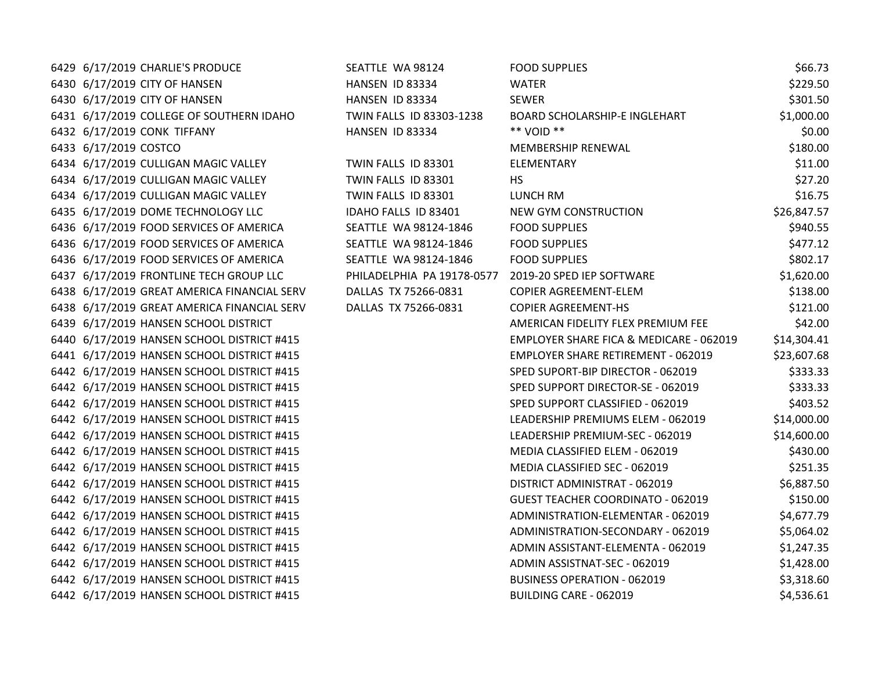6429 6/17/2019 CHARLIE'S PRODUCE SEATTLE WA 98124 FOOD SUPPLIES \$66.73

 6/17/2019 CITY OF HANSEN HANSEN ID 83334 WATER \$229.50 6/17/2019 CITY OF HANSEN HANSEN ID 83334 SEWER \$301.50 6/17/2019 COLLEGE OF SOUTHERN IDAHO TWIN FALLS ID 83303-1238 BOARD SCHOLARSHIP-E INGLEHART \$1,000.00 6/17/2019 CONK TIFFANY HANSEN ID 83334 \*\* VOID \*\* \$0.00 6/17/2019 COSTCO MEMBERSHIP RENEWAL \$180.00 6/17/2019 CULLIGAN MAGIC VALLEY TWIN FALLS ID 83301 ELEMENTARY \$11.00 6434 6/17/2019 CULLIGAN MAGIC VALLEY TWIN FALLS ID 83301 HS \$27.20 6434 6/17/2019 CULLIGAN MAGIC VALLEY TWIN FALLS ID 83301 LUNCH RM \$16.75 6435 6/17/2019 DOME TECHNOLOGY LLC **IDAHO FALLS ID 83401** NEW GYM CONSTRUCTION **\$26.847.57**  6/17/2019 FOOD SERVICES OF AMERICA SEATTLE WA 98124-1846 FOOD SUPPLIES \$940.55 6436 6/17/2019 FOOD SERVICES OF AMERICA SEATTLE WA 98124-1846 FOOD SUPPLIES \$477.12 6/17/2019 FOOD SERVICES OF AMERICA SEATTLE WA 98124-1846 FOOD SUPPLIES \$802.17 6/17/2019 FRONTLINE TECH GROUP LLC PHILADELPHIA PA 19178-0577 2019-20 SPED IEP SOFTWARE \$1,620.00 6/17/2019 GREAT AMERICA FINANCIAL SERV DALLAS TX 75266-0831 COPIER AGREEMENT-ELEM \$138.00 6/17/2019 GREAT AMERICA FINANCIAL SERV DALLAS TX 75266-0831 COPIER AGREEMENT-HS \$121.00 6/17/2019 HANSEN SCHOOL DISTRICT AMERICAN FIDELITY FLEX PREMIUM FEE \$42.00 6/17/2019 HANSEN SCHOOL DISTRICT #415 EMPLOYER SHARE FICA & MEDICARE - 062019 \$14,304.41 6/17/2019 HANSEN SCHOOL DISTRICT #415 EMPLOYER SHARE RETIREMENT - 062019 \$23,607.68 6/17/2019 HANSEN SCHOOL DISTRICT #415 SPED SUPORT-BIP DIRECTOR - 062019 \$333.33 6/17/2019 HANSEN SCHOOL DISTRICT #415 SPED SUPPORT DIRECTOR-SE - 062019 \$333.33 6/17/2019 HANSEN SCHOOL DISTRICT #415 SPED SUPPORT CLASSIFIED - 062019 \$403.52 6/17/2019 HANSEN SCHOOL DISTRICT #415 LEADERSHIP PREMIUMS ELEM - 062019 \$14,000.00 6/17/2019 HANSEN SCHOOL DISTRICT #415 LEADERSHIP PREMIUM-SEC - 062019 \$14,600.00 6/17/2019 HANSEN SCHOOL DISTRICT #415 MEDIA CLASSIFIED ELEM - 062019 \$430.00 6/17/2019 HANSEN SCHOOL DISTRICT #415 MEDIA CLASSIFIED SEC - 062019 \$251.35 6/17/2019 HANSEN SCHOOL DISTRICT #415 DISTRICT ADMINISTRAT - 062019 \$6,887.50 6/17/2019 HANSEN SCHOOL DISTRICT #415 GUEST TEACHER COORDINATO - 062019 \$150.00 6442 6/17/2019 HANSEN SCHOOL DISTRICT #415 ADMINISTRATION-ELEMENTAR - 062019 \$4,677.79 6442 6/17/2019 HANSEN SCHOOL DISTRICT #415 ADMINISTRATION-SECONDARY - 062019 \$5,064.02 6442 6/17/2019 HANSEN SCHOOL DISTRICT #415 **ADMIN ASSISTANT-ELEMENTA - 062019** \$1,247.35 6442 6/17/2019 HANSEN SCHOOL DISTRICT #415 ADMIN ASSISTNAT-SEC - 062019 51,428.00 6/17/2019 HANSEN SCHOOL DISTRICT #415 BUSINESS OPERATION - 062019 \$3,318.60 6/17/2019 HANSEN SCHOOL DISTRICT #415 BUILDING CARE - 062019 \$4,536.61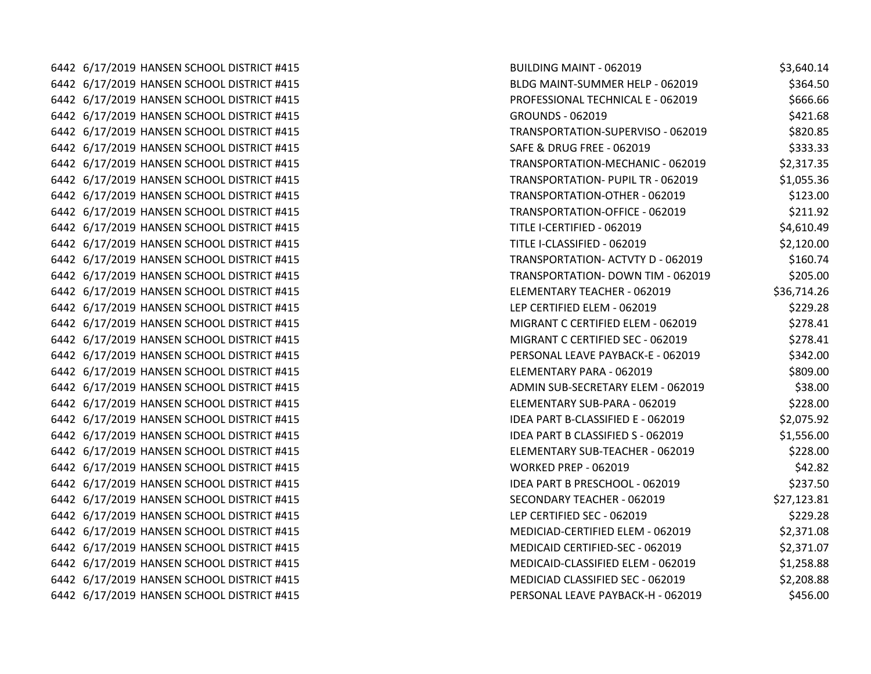6442 6/17/2019 HANSEN SCHOOL DISTRICT #415 BUILDING MAINT - 06442 6/17/2019 HANSEN SCHOOL DISTRICT #415 6442 6/17/2019 HANSEN SCHOOL DISTRICT #415 BLDG MAINT-SUMMER HELP - 062019 \$36442 \ 0.052019 \$364.50 6442 6/17/2019 HANSEN SCHOOL DISTRICT #415 PROFESSIONAL TECHNICAL E - 062019 \$66442 \ 6717/2019 \$666. 6442 6/17/2019 HANSEN SCHOOL DISTRICT #415 GROUNDS - 062010 6442 6/17/2019 HANSEN SCHOOL DISTRICT #415 **TRANSPORT SECTION-SUPERVISO - 062019** TR  $6442$   $6/17/2019$  HANSEN SCHOOL DISTRICT #415 S. 6442 6/17/2019 HANSEN SCHOOL DISTRICT #415 TRANSPORTATION-MECHANIC TRANSPORTATION-MECHANIC TRANSPORTATION-MECH 6442 6/17/2019 HANSEN SCHOOL DISTRICT #415 TRANSPORTATION- PUPIL TRANSPORTATION- PUPIL TRANSPORTATION- PUPIL T 6442 6/17/2019 HANSEN SCHOOL DISTRICT #415 TRANSPORTATION-OTHER FILES 6442 6/17/2019 HANSEN SCHOOL DISTRICT #415 TRANSPORTATION-OFFICE - 0621.921.92 6442 6/17/2019 HANSEN SCHOOL DISTRICT #415 TI 6442 6/17/2019 HANSEN SCHOOL DISTRICT #415 TITLE IN THE INTERNATIONAL TITLE IN THE INTERNATIONAL TITLE IN THE I 6442 6/17/2019 HANSEN SCHOOL DISTRICT #415 TRANSPORTATION- ACT 6442 6/17/2019 HANSEN SCHOOL DISTRICT #415 TRANSPORTATION- DOWN TIME - 062019 TRANSPORTATION- DOWN TIME - 0620 6442 6/17/2019 HANSEN SCHOOL DISTRICT #415 ELEMENTARY TEACHER - 062019 ELEMENTARY TEACHER - 062019 \$ 6442 6/17/2019 HANSEN SCHOOL DISTRICT #415 LI 6442 6/17/2019 HANSEN SCHOOL DISTRICT #415 MIGRANT C CERTIFIED EXECUTIVE ORDER TO A USE OF DETAILS 6442 6/17/2019 HANSEN SCHOOL DISTRICT #415 MIGRANT C CERTIFIED SECTION OF DISTRICT AND THE CERTIFIED SECTION O 6442 6/17/2019 HANSEN SCHOOL DISTRICT #415 PERSONAL LEAVE PAYBACK-E - 062019 \$342.000 \$342.000 \$342.000 \$342.000 \$342.000 \$342.000 \$342.000 \$342.000 \$342.000 \$342.000 \$342.000 \$342.000 \$342.000 \$342.000 \$342.000 \$342.000 \$ 6442 6/17/2019 HANSEN SCHOOL DISTRICT #415 ELEMENTARY PARA - 062019 ELEMENTARY PARA - 062019 6442 6/17/2019 HANSEN SCHOOL DISTRICT #415 ADMINISTRATION ADMINISTRATION ADMINISTRATION 6442 6/17/2019 HANSEN SCHOOL DISTRICT #415 ELEMENTARY SUB-PARA - 0.6217 6442 6/17/2019 HANSEN SCHOOL DISTRICT #415 **IDEA PART BEAT BEEN BEEN BEEN BEEN BEEN** 6442 6/17/2019 HANSEN SCHOOL DISTRICT #415 **IDEA PART B CLASSIFIED S - 062010** ID 6442 6/17/2019 HANSEN SCHOOL DISTRICT #415 ELEMENTARY SUB-TEACHER - 0621 ELEMENTARY SUB-TEACHER - 06 6442 6/17/2019 HANSEN SCHOOL DISTRICT #415 WORKER PREP - 062019 WORKER 6442 6/17/2019 HANSEN SCHOOL DISTRICT #415 **IDEA PART B PART B PRESCHOOL - 062019** ID 6442 6/17/2019 HANSEN SCHOOL DISTRICT #415 SECONDARY TEACHER SECOND STATES AND TEACHER STATES IN STATES AND ST 6442 6/17/2019 HANSEN SCHOOL DISTRICT #415 LI 6442 6/17/2019 HANSEN SCHOOL DISTRICT #415 MEDICIAL ORDER IN DELAY OF DISTRICT AND THE ORDER OF DISTRICT AND D 6442 6/17/2019 HANSEN SCHOOL DISTRICT #415 MEDICAL CERTIFIED-SECOND IN 6442 6/17/2019 HANSEN SCHOOL DISTRICT #415 MEDICAL SCHOOL OF STRICT STRICT AND STRICT AND THE ORDER OF DELEM S 6442 6/17/2019 HANSEN SCHOOL DISTRICT #415 MEDICIAL CLASSIFIED SECTOR OF DISTRICT SECTOR SECTOR SECTOR SECTOR 6442 6/17/2019 HANSEN SCHOOL DISTRICT #415 PERSONAL LEAVE PAYBACK-H - 062019 \$442

| UILDING MAINT - 062019                        | \$3,640.14  |
|-----------------------------------------------|-------------|
| LDG MAINT-SUMMER HELP - 062019                | \$364.50    |
| ROFESSIONAL TECHNICAL E - 062019              | \$666.66    |
| ROUNDS - 062019                               | \$421.68    |
| RANSPORTATION-SUPERVISO - 062019              | \$820.85    |
| AFE & DRUG FREE - 062019                      | \$333.33    |
| RANSPORTATION-MECHANIC - 062019               | \$2,317.35  |
| RANSPORTATION- PUPIL TR - 062019              | \$1,055.36  |
| RANSPORTATION-OTHER - 062019                  | \$123.00    |
| RANSPORTATION-OFFICE - 062019                 | \$211.92    |
| <b>ITLE I-CERTIFIED - 062019</b>              | \$4,610.49  |
| ITLE I-CLASSIFIED - 062019                    | \$2,120.00  |
| RANSPORTATION- ACTVTY D - 062019              | \$160.74    |
| RANSPORTATION- DOWN TIM - 062019              | \$205.00    |
| LEMENTARY TEACHER - 062019                    | \$36,714.26 |
| EP CERTIFIED ELEM - 062019                    | \$229.28    |
| AIGRANT C CERTIFIED ELEM - 062019             | \$278.41    |
| AIGRANT C CERTIFIED SEC - 062019              | \$278.41    |
| <b>ERSONAL LEAVE PAYBACK-E - 062019</b>       | \$342.00    |
| LEMENTARY PARA - 062019                       | \$809.00    |
| DMIN SUB-SECRETARY ELEM - 062019              | \$38.00     |
| LEMENTARY SUB-PARA - 062019                   | \$228.00    |
| DEA PART B-CLASSIFIED E - 062019              | \$2,075.92  |
| DEA PART B CLASSIFIED S - 062019              | \$1,556.00  |
| LEMENTARY SUB-TEACHER - 062019                | \$228.00    |
| <b>VORKED PREP - 062019</b>                   | \$42.82     |
| DEA PART B PRESCHOOL - 062019                 | \$237.50    |
| ECONDARY TEACHER - 062019                     | \$27,123.81 |
| EP CERTIFIED SEC - 062019                     | \$229.28    |
| AEDICIAD-CERTIFIED ELEM - 062019              | \$2,371.08  |
| <b><i>AEDICAID CERTIFIED-SEC - 062019</i></b> | \$2,371.07  |
| AEDICAID-CLASSIFIED ELEM - 062019             | \$1,258.88  |
| AEDICIAD CLASSIFIED SEC - 062019              | \$2,208.88  |
| <b>ERSONAL LEAVE PAYBACK-H - 062019</b>       | \$456.00    |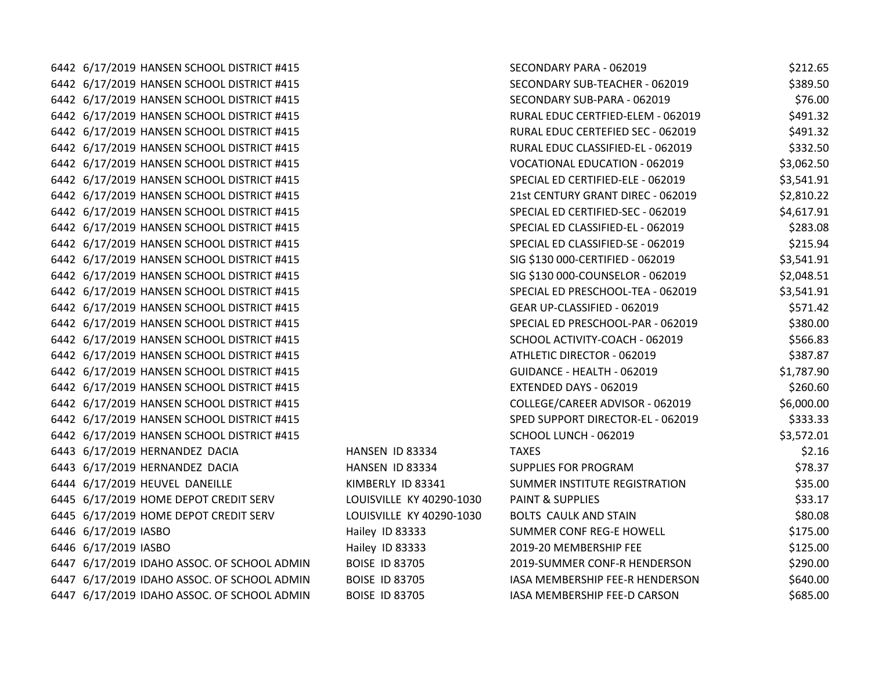6442 6/17/2019 HANSEN SCHOOL DISTRICT #415 SI 6442 6/17/2019 HANSEN SCHOOL DISTRICT #415 SI 6442 6/17/2019 HANSEN SCHOOL DISTRICT #415 SI 6442 6/17/2019 HANSEN SCHOOL DISTRICT #415 RURAL EDUC CERTEFIED-ELEM RURAL EDUC CERTEFIED-6442 6/17/2019 HANSEN SCHOOL DISTRICT #415 RURAL EDUC CERTEFIED SECTION OF RURAL EDUCATION SECTION OF RURAL EDU 6442 6/17/2019 HANSEN SCHOOL DISTRICT #415 RURAL EDUCATION RELATIONS 6442 6/17/2019 HANSEN SCHOOL DISTRICT #415 VOCATION - 062019 TO MALL EDUCATION - 07 6442 6/17/2019 HANSEN SCHOOL DISTRICT #415 SIERRIFIED-ELEMENT SISTEM-6442 6/17/2019 HANSEN SCHOOL DISTRICT #415 22 6442 6/17/2019 HANSEN SCHOOL DISTRICT #415 SIERRIFIED-SECTION SPECIAL ED CERTIFIED-SECTION SI 6442 6/17/2019 HANSEN SCHOOL DISTRICT #415 SIERREL ED CLASSIFIED-EL SISTEM-EL - 062019 SI 6442 6/17/2019 HANSEN SCHOOL DISTRICT #415 SIERRESSE - 062019 SIERRESSE - 062019 \$1 6442 6/17/2019 HANSEN SCHOOL DISTRICT #415 SIGNED - 0631 000-CERTIFIED - 0631 6442 6/17/2019 HANSEN SCHOOL DISTRICT #415 SIGNED AND THE SIGN OF STRICT STRICT AND THE SIGNED SIGNED ASSESSED AND THE STRICT AND THE STRICT AND THE STRICT AND THE STRICT AND THE STRICT AND THE STRICT AND THE STRICT AND TH 6442 6/17/2019 HANSEN SCHOOL DISTRICT #415 SINGLED PRESCHOOL 6442 6/17/2019 HANSEN SCHOOL DISTRICT #415 GEAR UP-CLASSIFIED - 062019 571.422019 \$571.42201.422019 \$ 6442 6/17/2019 HANSEN SCHOOL DISTRICT #415 SIERREST PRESCHOOL 6442 6/17/2019 HANSEN SCHOOL DISTRICT #415 SK SCHOOL ACTIVITY-COACH - 062019 \$566.836.836 6442 6/17/2019 HANSEN SCHOOL DISTRICT #415 6442 6/17/2019 HANSEN SCHOOL DISTRICT #415 GUIDANCE - HEALTH - 062019 BILLETING 6442 6/17/2019 HANSEN SCHOOL DISTRICT #415 EXTENDS 100010 1520.60010 EXTENDED BY 6442 6/17/2019 HANSEN SCHOOL DISTRICT #415 COLLEGE/CAREER ADVISOR - 062019 \$6,000.000.000.000.000.000 6442 6/17/2019 HANSEN SCHOOL DISTRICT #415 SIPPORT DIRECTOR-EL SUPPORT DIRECTOR-6442 6/17/2019 HANSEN SCHOOL DISTRICT #415 SQUARE - 062019 SQUARE - 062019 \$3,572.012.01 6443 6/17/2019 HERNANDEZ DACIA **HANSEN ID 83334** T. 6443 6/17/2019 HERNANDEZ DACIA **HANSEN ID 83334** S 6444 6/17/2019 HEUVEL DANEILLE KIMBERLY ID 83341 SI 6445 6/17/2019 HOME DEPOT CREDIT SERV LOUISVILLE KY 40290-1030 P. 6445 6/17/2019 HOME DEPOT CREDIT SERV LOUISVILLE KY 40290-1030 B 6446 6/17/2019 IASBO **Hailey ID 83333** SI 6446 6/17/2019 IASBO **Hailey ID 83333** 2019-2019-2019 6447 6/17/2019 IDAHO ASSOC. OF SCHOOL ADMIN BOISE ID 83705 2019-6447 6/17/2019 IDAHO ASSOC. OF SCHOOL ADMIN BOISE ID 83705 IASA MEMBERSHIP FEED-R HENDERS 6447 6/17/2019 IDAHO ASSOC. OF SCHOOL ADMIN BOISE ID 83705 IA

| ECONDARY PARA - 062019               | \$212.65   |
|--------------------------------------|------------|
| ECONDARY SUB-TEACHER - 062019        | \$389.50   |
| ECONDARY SUB-PARA - 062019           | \$76.00    |
| URAL EDUC CERTFIED-ELEM - 062019     | \$491.32   |
| URAL EDUC CERTEFIED SEC - 062019     | \$491.32   |
| URAL EDUC CLASSIFIED-EL - 062019     | \$332.50   |
| OCATIONAL EDUCATION - 062019         | \$3,062.50 |
| PECIAL ED CERTIFIED-ELE - 062019     | \$3,541.91 |
| 1st CENTURY GRANT DIREC - 062019     | \$2,810.22 |
| PECIAL ED CERTIFIED-SEC - 062019     | \$4,617.91 |
| PECIAL ED CLASSIFIED-EL - 062019     | \$283.08   |
| PECIAL ED CLASSIFIED-SE - 062019     | \$215.94   |
| IG \$130 000-CERTIFIED - 062019      | \$3,541.91 |
| IG \$130 000-COUNSELOR - 062019      | \$2,048.51 |
| PECIAL ED PRESCHOOL-TEA - 062019     | \$3,541.91 |
| EAR UP-CLASSIFIED - 062019           | \$571.42   |
| PECIAL ED PRESCHOOL-PAR - 062019     | \$380.00   |
| CHOOL ACTIVITY-COACH - 062019        | \$566.83   |
| THLETIC DIRECTOR - 062019            | \$387.87   |
| UIDANCE - HEALTH - 062019            | \$1,787.90 |
| XTENDED DAYS - 062019                | \$260.60   |
| OLLEGE/CAREER ADVISOR - 062019       | \$6,000.00 |
| PED SUPPORT DIRECTOR-EL - 062019     | \$333.33   |
| CHOOL LUNCH - 062019                 | \$3,572.01 |
| <b>AXES</b>                          | \$2.16     |
| UPPLIES FOR PROGRAM                  | \$78.37    |
| UMMER INSTITUTE REGISTRATION         | \$35.00    |
| <b>AINT &amp; SUPPLIES</b>           | \$33.17    |
| OLTS CAULK AND STAIN                 | \$80.08    |
| UMMER CONF REG-E HOWELL              | \$175.00   |
| 019-20 MEMBERSHIP FEE                | \$125.00   |
| 019-SUMMER CONF-R HENDERSON          | \$290.00   |
| <b>SA MEMBERSHIP FEE-R HENDERSON</b> | \$640.00   |
| <b>SA MEMBERSHIP FEE-D CARSON</b>    | \$685.00   |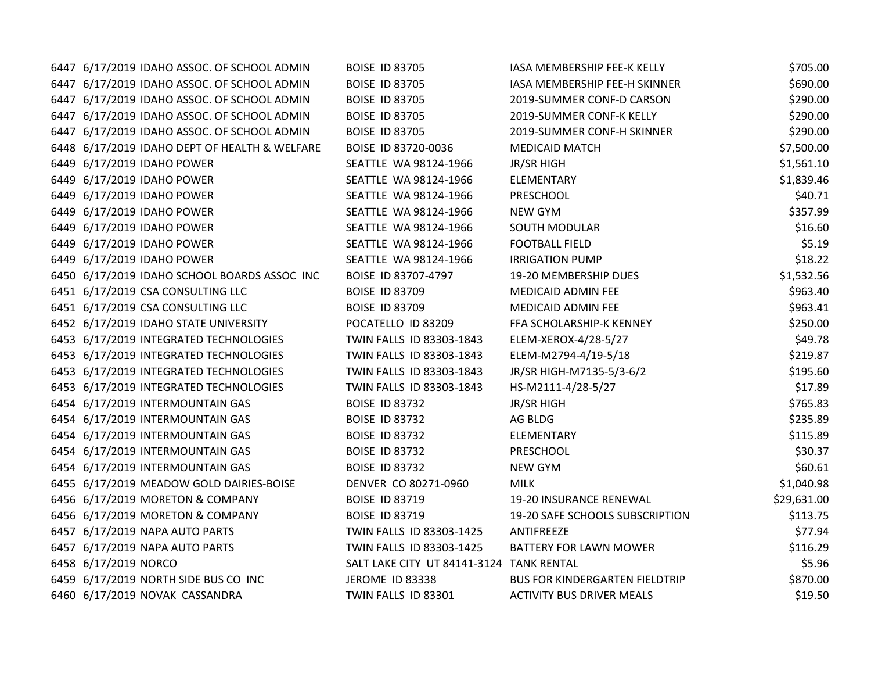| 6447 6/17/2019 IDAHO ASSOC. OF SCHOOL ADMIN   | <b>BOISE ID 83705</b>                    | IASA MEMBERSHIP FEE-K KELLY      | \$705.00    |
|-----------------------------------------------|------------------------------------------|----------------------------------|-------------|
| 6447 6/17/2019 IDAHO ASSOC. OF SCHOOL ADMIN   | <b>BOISE ID 83705</b>                    | IASA MEMBERSHIP FEE-H SKINNER    | \$690.00    |
| 6447 6/17/2019 IDAHO ASSOC. OF SCHOOL ADMIN   | <b>BOISE ID 83705</b>                    | 2019-SUMMER CONF-D CARSON        | \$290.00    |
| 6447 6/17/2019 IDAHO ASSOC. OF SCHOOL ADMIN   | <b>BOISE ID 83705</b>                    | 2019-SUMMER CONF-K KELLY         | \$290.00    |
| 6447 6/17/2019 IDAHO ASSOC. OF SCHOOL ADMIN   | <b>BOISE ID 83705</b>                    | 2019-SUMMER CONF-H SKINNER       | \$290.00    |
| 6448 6/17/2019 IDAHO DEPT OF HEALTH & WELFARE | BOISE ID 83720-0036                      | <b>MEDICAID MATCH</b>            | \$7,500.00  |
| 6449 6/17/2019 IDAHO POWER                    | SEATTLE WA 98124-1966                    | JR/SR HIGH                       | \$1,561.10  |
| 6449 6/17/2019 IDAHO POWER                    | SEATTLE WA 98124-1966                    | ELEMENTARY                       | \$1,839.46  |
| 6449 6/17/2019 IDAHO POWER                    | SEATTLE WA 98124-1966                    | <b>PRESCHOOL</b>                 | \$40.71     |
| 6449 6/17/2019 IDAHO POWER                    | SEATTLE WA 98124-1966                    | <b>NEW GYM</b>                   | \$357.99    |
| 6449 6/17/2019 IDAHO POWER                    | SEATTLE WA 98124-1966                    | SOUTH MODULAR                    | \$16.60     |
| 6449 6/17/2019 IDAHO POWER                    | SEATTLE WA 98124-1966                    | <b>FOOTBALL FIELD</b>            | \$5.19      |
| 6449 6/17/2019 IDAHO POWER                    | SEATTLE WA 98124-1966                    | <b>IRRIGATION PUMP</b>           | \$18.22     |
| 6450 6/17/2019 IDAHO SCHOOL BOARDS ASSOC INC  | BOISE ID 83707-4797                      | 19-20 MEMBERSHIP DUES            | \$1,532.56  |
| 6451 6/17/2019 CSA CONSULTING LLC             | <b>BOISE ID 83709</b>                    | MEDICAID ADMIN FEE               | \$963.40    |
| 6451 6/17/2019 CSA CONSULTING LLC             | <b>BOISE ID 83709</b>                    | MEDICAID ADMIN FEE               | \$963.41    |
| 6452 6/17/2019 IDAHO STATE UNIVERSITY         | POCATELLO ID 83209                       | FFA SCHOLARSHIP-K KENNEY         | \$250.00    |
| 6453 6/17/2019 INTEGRATED TECHNOLOGIES        | TWIN FALLS ID 83303-1843                 | ELEM-XEROX-4/28-5/27             | \$49.78     |
| 6453 6/17/2019 INTEGRATED TECHNOLOGIES        | TWIN FALLS ID 83303-1843                 | ELEM-M2794-4/19-5/18             | \$219.87    |
| 6453 6/17/2019 INTEGRATED TECHNOLOGIES        | TWIN FALLS ID 83303-1843                 | JR/SR HIGH-M7135-5/3-6/2         | \$195.60    |
| 6453 6/17/2019 INTEGRATED TECHNOLOGIES        | TWIN FALLS ID 83303-1843                 | HS-M2111-4/28-5/27               | \$17.89     |
| 6454 6/17/2019 INTERMOUNTAIN GAS              | <b>BOISE ID 83732</b>                    | JR/SR HIGH                       | \$765.83    |
| 6454 6/17/2019 INTERMOUNTAIN GAS              | <b>BOISE ID 83732</b>                    | AG BLDG                          | \$235.89    |
| 6454 6/17/2019 INTERMOUNTAIN GAS              | <b>BOISE ID 83732</b>                    | ELEMENTARY                       | \$115.89    |
| 6454 6/17/2019 INTERMOUNTAIN GAS              | <b>BOISE ID 83732</b>                    | PRESCHOOL                        | \$30.37     |
| 6454 6/17/2019 INTERMOUNTAIN GAS              | <b>BOISE ID 83732</b>                    | <b>NEW GYM</b>                   | \$60.61     |
| 6455 6/17/2019 MEADOW GOLD DAIRIES-BOISE      | DENVER CO 80271-0960                     | <b>MILK</b>                      | \$1,040.98  |
| 6456 6/17/2019 MORETON & COMPANY              | <b>BOISE ID 83719</b>                    | 19-20 INSURANCE RENEWAL          | \$29,631.00 |
| 6456 6/17/2019 MORETON & COMPANY              | <b>BOISE ID 83719</b>                    | 19-20 SAFE SCHOOLS SUBSCRIPTION  | \$113.75    |
| 6457 6/17/2019 NAPA AUTO PARTS                | TWIN FALLS ID 83303-1425                 | ANTIFREEZE                       | \$77.94     |
| 6457 6/17/2019 NAPA AUTO PARTS                | TWIN FALLS ID 83303-1425                 | <b>BATTERY FOR LAWN MOWER</b>    | \$116.29    |
| 6458 6/17/2019 NORCO                          | SALT LAKE CITY UT 84141-3124 TANK RENTAL |                                  | \$5.96      |
| 6459 6/17/2019 NORTH SIDE BUS CO INC          | JEROME ID 83338                          | BUS FOR KINDERGARTEN FIELDTRIP   | \$870.00    |
| 6460 6/17/2019 NOVAK CASSANDRA                | TWIN FALLS ID 83301                      | <b>ACTIVITY BUS DRIVER MEALS</b> | \$19.50     |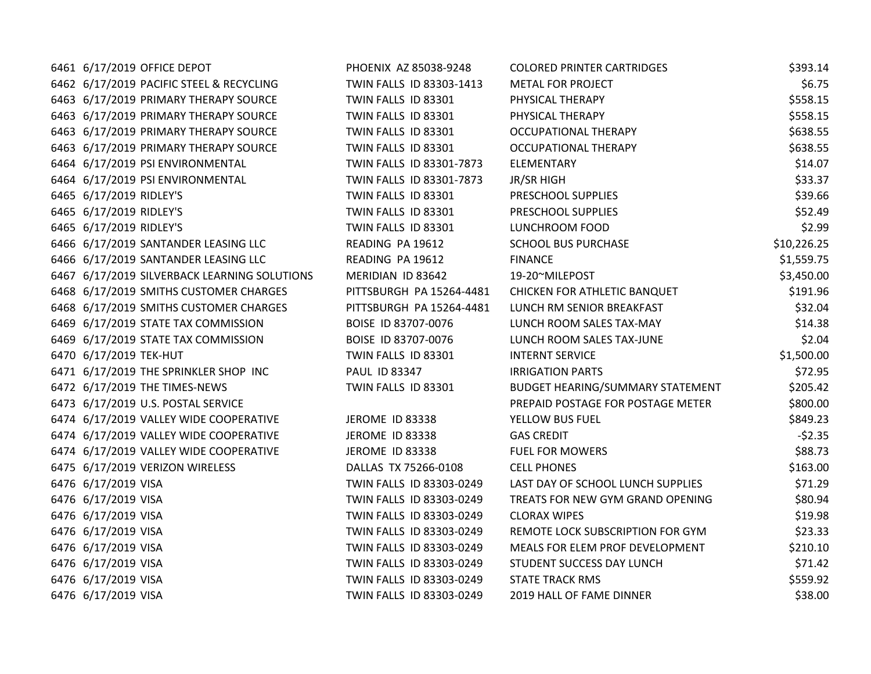| 6461 6/17/2019 OFFICE DEPOT                  | PHOENIX AZ 85038-9248    | <b>COLORED PRINTER CARTRIDGES</b> | \$393.14    |
|----------------------------------------------|--------------------------|-----------------------------------|-------------|
| 6462 6/17/2019 PACIFIC STEEL & RECYCLING     | TWIN FALLS ID 83303-1413 | <b>METAL FOR PROJECT</b>          | \$6.75      |
| 6463 6/17/2019 PRIMARY THERAPY SOURCE        | TWIN FALLS ID 83301      | PHYSICAL THERAPY                  | \$558.15    |
| 6463 6/17/2019 PRIMARY THERAPY SOURCE        | TWIN FALLS ID 83301      | PHYSICAL THERAPY                  | \$558.15    |
| 6463 6/17/2019 PRIMARY THERAPY SOURCE        | TWIN FALLS ID 83301      | <b>OCCUPATIONAL THERAPY</b>       | \$638.55    |
| 6463 6/17/2019 PRIMARY THERAPY SOURCE        | TWIN FALLS ID 83301      | <b>OCCUPATIONAL THERAPY</b>       | \$638.55    |
| 6464 6/17/2019 PSI ENVIRONMENTAL             | TWIN FALLS ID 83301-7873 | ELEMENTARY                        | \$14.07     |
| 6464 6/17/2019 PSI ENVIRONMENTAL             | TWIN FALLS ID 83301-7873 | JR/SR HIGH                        | \$33.37     |
| 6465 6/17/2019 RIDLEY'S                      | TWIN FALLS ID 83301      | PRESCHOOL SUPPLIES                | \$39.66     |
| 6465 6/17/2019 RIDLEY'S                      | TWIN FALLS ID 83301      | PRESCHOOL SUPPLIES                | \$52.49     |
| 6465 6/17/2019 RIDLEY'S                      | TWIN FALLS ID 83301      | LUNCHROOM FOOD                    | \$2.99      |
| 6466 6/17/2019 SANTANDER LEASING LLC         | READING PA 19612         | <b>SCHOOL BUS PURCHASE</b>        | \$10,226.25 |
| 6466 6/17/2019 SANTANDER LEASING LLC         | READING PA 19612         | <b>FINANCE</b>                    | \$1,559.75  |
| 6467 6/17/2019 SILVERBACK LEARNING SOLUTIONS | MERIDIAN ID 83642        | 19-20~MILEPOST                    | \$3,450.00  |
| 6468 6/17/2019 SMITHS CUSTOMER CHARGES       | PITTSBURGH PA 15264-4481 | CHICKEN FOR ATHLETIC BANQUET      | \$191.96    |
| 6468 6/17/2019 SMITHS CUSTOMER CHARGES       | PITTSBURGH PA 15264-4481 | LUNCH RM SENIOR BREAKFAST         | \$32.04     |
| 6469 6/17/2019 STATE TAX COMMISSION          | BOISE ID 83707-0076      | LUNCH ROOM SALES TAX-MAY          | \$14.38     |
| 6469 6/17/2019 STATE TAX COMMISSION          | BOISE ID 83707-0076      | LUNCH ROOM SALES TAX-JUNE         | \$2.04      |
| 6470 6/17/2019 TEK-HUT                       | TWIN FALLS ID 83301      | <b>INTERNT SERVICE</b>            | \$1,500.00  |
| 6471 6/17/2019 THE SPRINKLER SHOP INC        | <b>PAUL ID 83347</b>     | <b>IRRIGATION PARTS</b>           | \$72.95     |
| 6472 6/17/2019 THE TIMES-NEWS                | TWIN FALLS ID 83301      | BUDGET HEARING/SUMMARY STATEMENT  | \$205.42    |
| 6473 6/17/2019 U.S. POSTAL SERVICE           |                          | PREPAID POSTAGE FOR POSTAGE METER | \$800.00    |
| 6474 6/17/2019 VALLEY WIDE COOPERATIVE       | JEROME ID 83338          | YELLOW BUS FUEL                   | \$849.23    |
| 6474 6/17/2019 VALLEY WIDE COOPERATIVE       | <b>JEROME ID 83338</b>   | <b>GAS CREDIT</b>                 | $-52.35$    |
| 6474 6/17/2019 VALLEY WIDE COOPERATIVE       | JEROME ID 83338          | <b>FUEL FOR MOWERS</b>            | \$88.73     |
| 6475 6/17/2019 VERIZON WIRELESS              | DALLAS TX 75266-0108     | <b>CELL PHONES</b>                | \$163.00    |
| 6476 6/17/2019 VISA                          | TWIN FALLS ID 83303-0249 | LAST DAY OF SCHOOL LUNCH SUPPLIES | \$71.29     |
| 6476 6/17/2019 VISA                          | TWIN FALLS ID 83303-0249 | TREATS FOR NEW GYM GRAND OPENING  | \$80.94     |
| 6476 6/17/2019 VISA                          | TWIN FALLS ID 83303-0249 | <b>CLORAX WIPES</b>               | \$19.98     |
| 6476 6/17/2019 VISA                          | TWIN FALLS ID 83303-0249 | REMOTE LOCK SUBSCRIPTION FOR GYM  | \$23.33     |
| 6476 6/17/2019 VISA                          | TWIN FALLS ID 83303-0249 | MEALS FOR ELEM PROF DEVELOPMENT   | \$210.10    |
| 6476 6/17/2019 VISA                          | TWIN FALLS ID 83303-0249 | STUDENT SUCCESS DAY LUNCH         | \$71.42     |
| 6476 6/17/2019 VISA                          | TWIN FALLS ID 83303-0249 | <b>STATE TRACK RMS</b>            | \$559.92    |
| 6476 6/17/2019 VISA                          | TWIN FALLS ID 83303-0249 | 2019 HALL OF FAME DINNER          | \$38.00     |